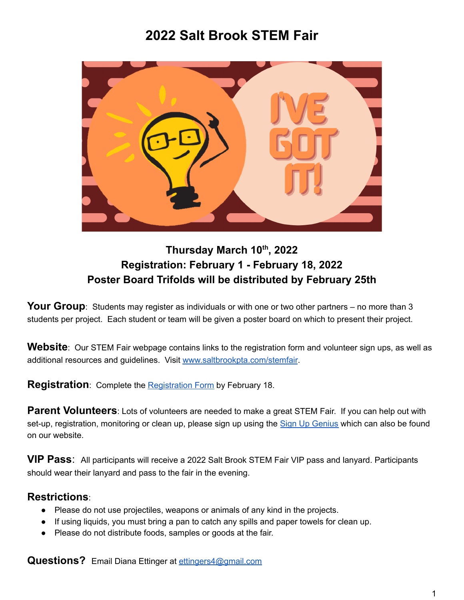# **2022 Salt Brook STEM Fair**



### **Thursday March 10 th , 2022 Registration: February 1 - February 18, 2022 Poster Board Trifolds will be distributed by February 25th**

**Your Group**: Students may register as individuals or with one or two other partners – no more than 3 students per project. Each student or team will be given a poster board on which to present their project.

**Website**: Our STEM Fair webpage contains links to the registration form and volunteer sign ups, as well as additional resources and guidelines. Visit [www.saltbrookpta.com/stemfair](http://www.saltbrookpta.com/stemfair).

**Registration**: Complete the [Registration](https://docs.google.com/forms/d/e/1FAIpQLSc-MfQS1MaQhjC4ExJL__wPcBbiVX4FtzNVy4f4dqEUeVqzzQ/viewform?usp=sf_link) Form by February 18.

**Parent Volunteers**: Lots of volunteers are needed to make a great STEM Fair. If you can help out with set-up, registration, monitoring or clean up, please sign up using the Sign Up [Genius](https://www.signupgenius.com/go/20F0944ADA928A6FD0-volunteers2) which can also be found on our website.

**VIP Pass**: All participants will receive a 2022 Salt Brook STEM Fair VIP pass and lanyard. Participants should wear their lanyard and pass to the fair in the evening.

### **Restrictions**:

- Please do not use projectiles, weapons or animals of any kind in the projects.
- If using liquids, you must bring a pan to catch any spills and paper towels for clean up.
- Please do not distribute foods, samples or goods at the fair.

**Questions?** Email Diana Ettinger at [ettingers4@gmail.com](mailto:ettingers4@gmail.com)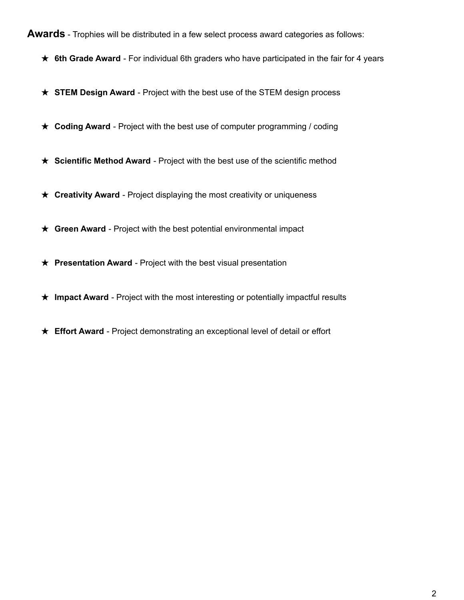#### **Awards** - Trophies will be distributed in a few select process award categories as follows:

- ★ **6th Grade Award** For individual 6th graders who have participated in the fair for 4 years
- ★ **STEM Design Award** Project with the best use of the STEM design process
- ★ **Coding Award** Project with the best use of computer programming / coding
- ★ **Scientific Method Award** Project with the best use of the scientific method
- ★ **Creativity Award** Project displaying the most creativity or uniqueness
- ★ **Green Award** Project with the best potential environmental impact
- ★ **Presentation Award** Project with the best visual presentation
- ★ **Impact Award** Project with the most interesting or potentially impactful results
- ★ **Effort Award** Project demonstrating an exceptional level of detail or effort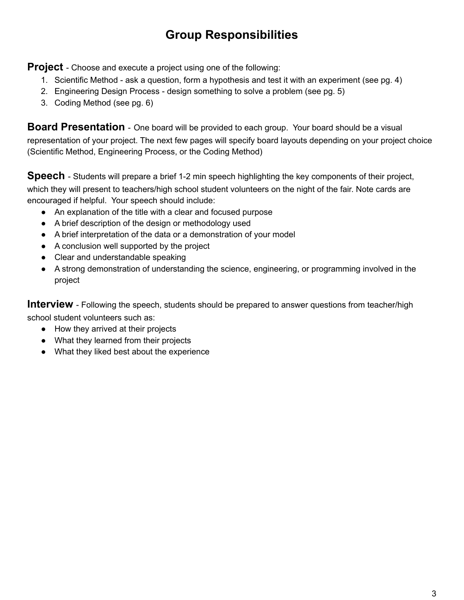## **Group Responsibilities**

**Project** - Choose and execute a project using one of the following:

- 1. Scientific Method ask a question, form a hypothesis and test it with an experiment (see pg. 4)
- 2. Engineering Design Process design something to solve a problem (see pg. 5)
- 3. Coding Method (see pg. 6)

**Board Presentation** - One board will be provided to each group. Your board should be a visual representation of your project. The next few pages will specify board layouts depending on your project choice (Scientific Method, Engineering Process, or the Coding Method)

**Speech** - Students will prepare a brief 1-2 min speech highlighting the key components of their project, which they will present to teachers/high school student volunteers on the night of the fair. Note cards are encouraged if helpful. Your speech should include:

- An explanation of the title with a clear and focused purpose
- A brief description of the design or methodology used
- A brief interpretation of the data or a demonstration of your model
- A conclusion well supported by the project
- Clear and understandable speaking
- A strong demonstration of understanding the science, engineering, or programming involved in the project

**Interview** - Following the speech, students should be prepared to answer questions from teacher/high school student volunteers such as:

- How they arrived at their projects
- What they learned from their projects
- What they liked best about the experience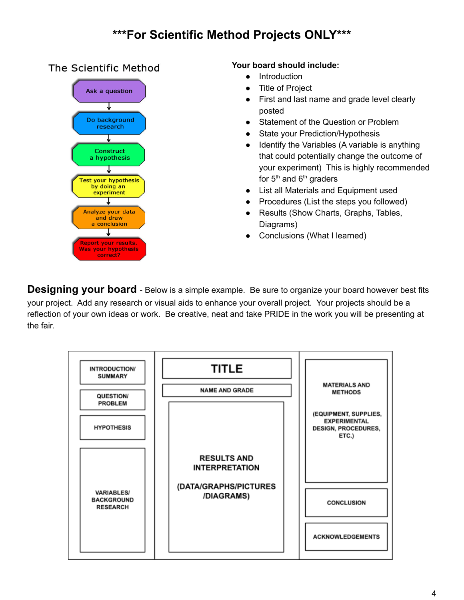### **\*\*\*For Scientific Method Projects ONLY\*\*\***

### The Scientific Method



#### **Your board should include:**

- Introduction
- **Title of Project**
- First and last name and grade level clearly posted
- Statement of the Question or Problem
- State your Prediction/Hypothesis
- Identify the Variables (A variable is anything that could potentially change the outcome of your experiment) This is highly recommended for  $5<sup>th</sup>$  and  $6<sup>th</sup>$  graders
- List all Materials and Equipment used
- Procedures (List the steps you followed)
- Results (Show Charts, Graphs, Tables, Diagrams)
- Conclusions (What I learned)

**Designing your board** - Below is a simple example. Be sure to organize your board however best fits your project. Add any research or visual aids to enhance your overall project. Your projects should be a reflection of your own ideas or work. Be creative, neat and take PRIDE in the work you will be presenting at the fair.

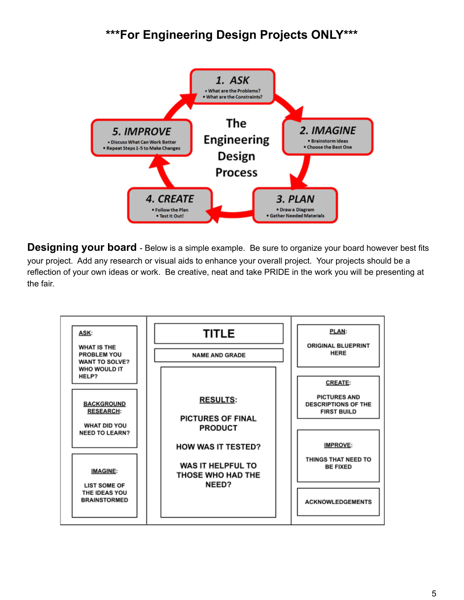### **\*\*\*For Engineering Design Projects ONLY\*\*\***



**Designing your board** - Below is a simple example. Be sure to organize your board however best fits your project. Add any research or visual aids to enhance your overall project. Your projects should be a reflection of your own ideas or work. Be creative, neat and take PRIDE in the work you will be presenting at the fair.

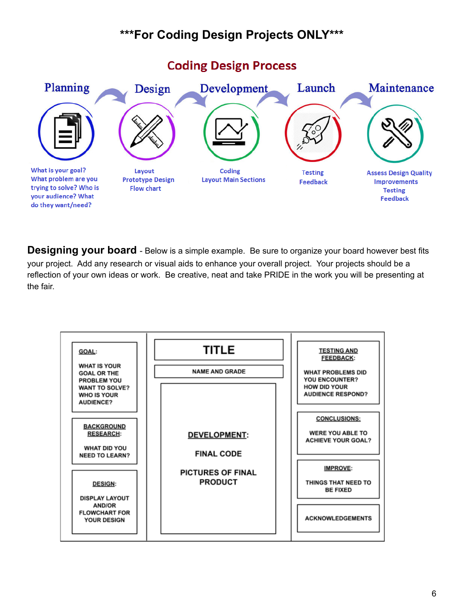## **\*\*\*For Coding Design Projects ONLY\*\*\***



**Designing your board** - Below is a simple example. Be sure to organize your board however best fits your project. Add any research or visual aids to enhance your overall project. Your projects should be a reflection of your own ideas or work. Be creative, neat and take PRIDE in the work you will be presenting at the fair.



#### 6